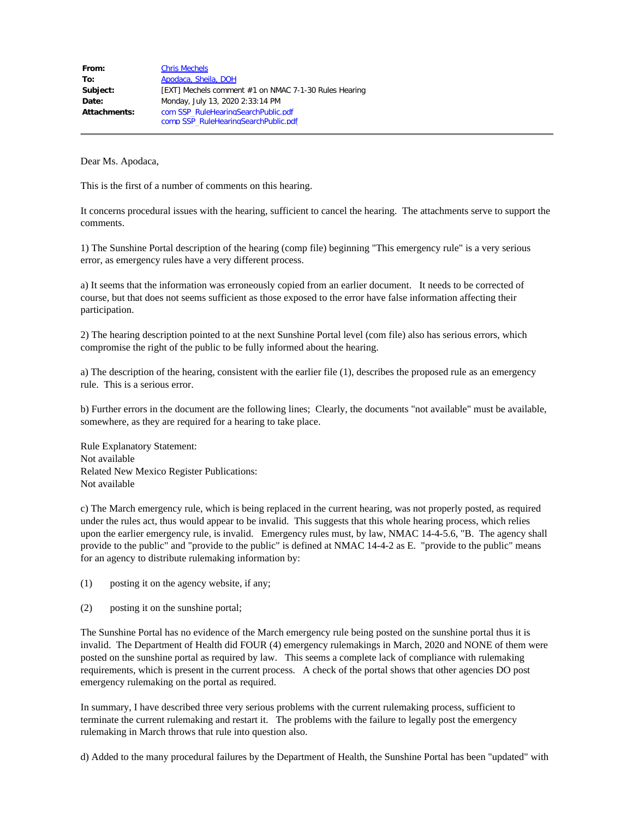| From:        | <b>Chris Mechels</b>                                  |
|--------------|-------------------------------------------------------|
| To:          | Apodaca, Sheila, DOH                                  |
| Subject:     | [EXT] Mechels comment #1 on NMAC 7-1-30 Rules Hearing |
| Date:        | Monday, July 13, 2020 2:33:14 PM                      |
| Attachments: | com SSP RuleHearingSearchPublic.pdf                   |
|              | comp SSP RuleHearingSearchPublic.pdf                  |

This is the first of a number of comments on this hearing.

It concerns procedural issues with the hearing, sufficient to cancel the hearing. The attachments serve to support the comments.

1) The Sunshine Portal description of the hearing (comp file) beginning "This emergency rule" is a very serious error, as emergency rules have a very different process.

a) It seems that the information was erroneously copied from an earlier document. It needs to be corrected of course, but that does not seems sufficient as those exposed to the error have false information affecting their participation.

2) The hearing description pointed to at the next Sunshine Portal level (com file) also has serious errors, which compromise the right of the public to be fully informed about the hearing.

a) The description of the hearing, consistent with the earlier file (1), describes the proposed rule as an emergency rule. This is a serious error.

b) Further errors in the document are the following lines; Clearly, the documents "not available" must be available, somewhere, as they are required for a hearing to take place.

Rule Explanatory Statement: Not available Related New Mexico Register Publications: Not available

c) The March emergency rule, which is being replaced in the current hearing, was not properly posted, as required under the rules act, thus would appear to be invalid. This suggests that this whole hearing process, which relies upon the earlier emergency rule, is invalid. Emergency rules must, by law, NMAC 14-4-5.6, "B. The agency shall provide to the public" and "provide to the public" is defined at NMAC 14-4-2 as E. "provide to the public" means for an agency to distribute rulemaking information by:

(1) posting it on the agency website, if any;

(2) posting it on the sunshine portal;

The Sunshine Portal has no evidence of the March emergency rule being posted on the sunshine portal thus it is invalid. The Department of Health did FOUR (4) emergency rulemakings in March, 2020 and NONE of them were posted on the sunshine portal as required by law. This seems a complete lack of compliance with rulemaking requirements, which is present in the current process. A check of the portal shows that other agencies DO post emergency rulemaking on the portal as required.

In summary, I have described three very serious problems with the current rulemaking process, sufficient to terminate the current rulemaking and restart it. The problems with the failure to legally post the emergency rulemaking in March throws that rule into question also.

d) Added to the many procedural failures by the Department of Health, the Sunshine Portal has been "updated" with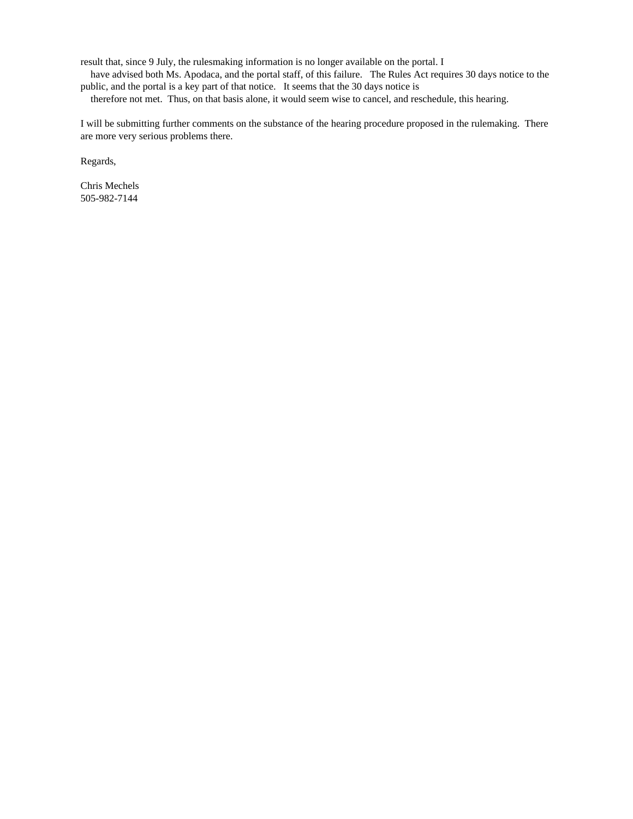result that, since 9 July, the rulesmaking information is no longer available on the portal. I

 have advised both Ms. Apodaca, and the portal staff, of this failure. The Rules Act requires 30 days notice to the public, and the portal is a key part of that notice. It seems that the 30 days notice is

therefore not met. Thus, on that basis alone, it would seem wise to cancel, and reschedule, this hearing.

I will be submitting further comments on the substance of the hearing procedure proposed in the rulemaking. There are more very serious problems there.

Regards,

Chris Mechels 505-982-7144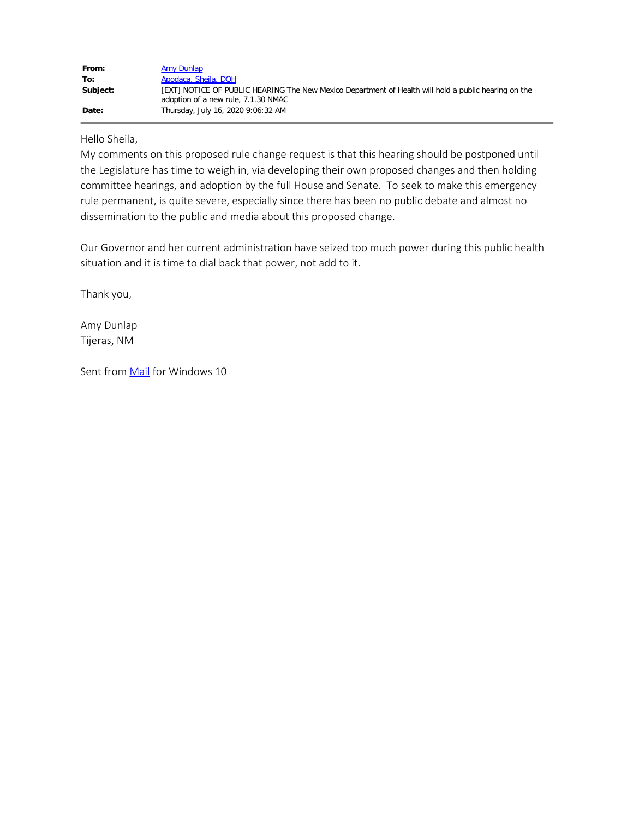| From:    | Amy Dunlap                                                                                                                                  |
|----------|---------------------------------------------------------------------------------------------------------------------------------------------|
| To:      | Apodaca, Sheila, DOH                                                                                                                        |
| Subject: | [EXT] NOTICE OF PUBLIC HEARING The New Mexico Department of Health will hold a public hearing on the<br>adoption of a new rule, 7.1.30 NMAC |
| Date:    | Thursday, July 16, 2020 9:06:32 AM                                                                                                          |

#### Hello Sheila,

My comments on this proposed rule change request is that this hearing should be postponed until the Legislature has time to weigh in, via developing their own proposed changes and then holding committee hearings, and adoption by the full House and Senate. To seek to make this emergency rule permanent, is quite severe, especially since there has been no public debate and almost no dissemination to the public and media about this proposed change.

Our Governor and her current administration have seized too much power during this public health situation and it is time to dial back that power, not add to it.

Thank you,

Amy Dunlap Tijeras, NM

Sent from [Mail](https://protect-us.mimecast.com/s/ctf-C2koZnu8jmM9unSHhR?domain=go.microsoft.com) for Windows 10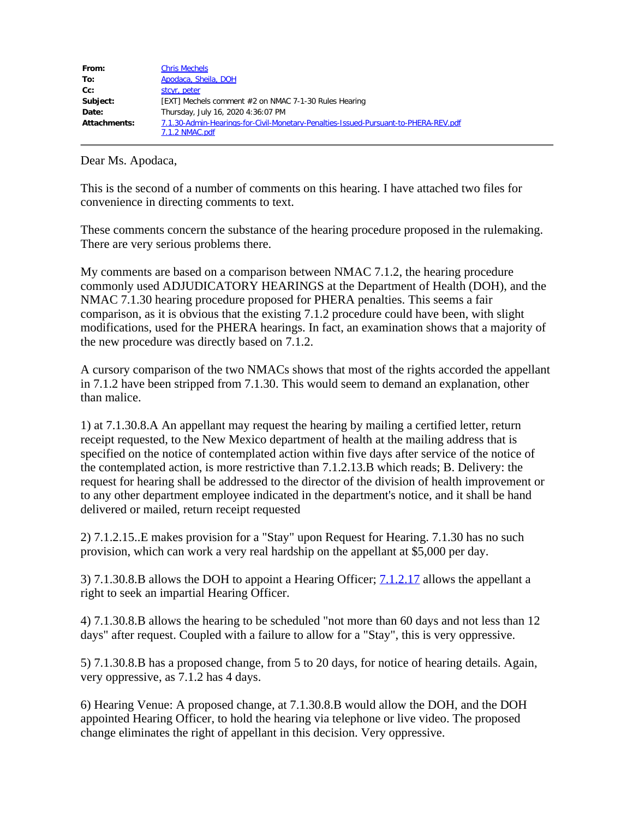| From:        | <b>Chris Mechels</b>                                                                                  |
|--------------|-------------------------------------------------------------------------------------------------------|
| To:          | Apodaca, Sheila, DOH                                                                                  |
| $Cc$ :       | stcyr, peter                                                                                          |
| Subject:     | [EXT] Mechels comment #2 on NMAC 7-1-30 Rules Hearing                                                 |
| Date:        | Thursday, July 16, 2020 4:36:07 PM                                                                    |
| Attachments: | 7.1.30-Admin-Hearings-for-Civil-Monetary-Penalties-Issued-Pursuant-to-PHERA-REV.pdf<br>7.1.2 NMAC.pdf |

This is the second of a number of comments on this hearing. I have attached two files for convenience in directing comments to text.

These comments concern the substance of the hearing procedure proposed in the rulemaking. There are very serious problems there.

My comments are based on a comparison between NMAC 7.1.2, the hearing procedure commonly used ADJUDICATORY HEARINGS at the Department of Health (DOH), and the NMAC 7.1.30 hearing procedure proposed for PHERA penalties. This seems a fair comparison, as it is obvious that the existing 7.1.2 procedure could have been, with slight modifications, used for the PHERA hearings. In fact, an examination shows that a majority of the new procedure was directly based on 7.1.2.

A cursory comparison of the two NMACs shows that most of the rights accorded the appellant in 7.1.2 have been stripped from 7.1.30. This would seem to demand an explanation, other than malice.

1) at 7.1.30.8.A An appellant may request the hearing by mailing a certified letter, return receipt requested, to the New Mexico department of health at the mailing address that is specified on the notice of contemplated action within five days after service of the notice of the contemplated action, is more restrictive than 7.1.2.13.B which reads; B. Delivery: the request for hearing shall be addressed to the director of the division of health improvement or to any other department employee indicated in the department's notice, and it shall be hand delivered or mailed, return receipt requested

2) 7.1.2.15..E makes provision for a "Stay" upon Request for Hearing. 7.1.30 has no such provision, which can work a very real hardship on the appellant at \$5,000 per day.

3) 7.1.30.8.B allows the DOH to appoint a Hearing Officer; [7.1.2.17](https://protect-us.mimecast.com/s/8uLFCjRkrGIR2kvph7bgrj?domain=7.1.2.17) allows the appellant a right to seek an impartial Hearing Officer.

4) 7.1.30.8.B allows the hearing to be scheduled "not more than 60 days and not less than 12 days" after request. Coupled with a failure to allow for a "Stay", this is very oppressive.

5) 7.1.30.8.B has a proposed change, from 5 to 20 days, for notice of hearing details. Again, very oppressive, as 7.1.2 has 4 days.

6) Hearing Venue: A proposed change, at 7.1.30.8.B would allow the DOH, and the DOH appointed Hearing Officer, to hold the hearing via telephone or live video. The proposed change eliminates the right of appellant in this decision. Very oppressive.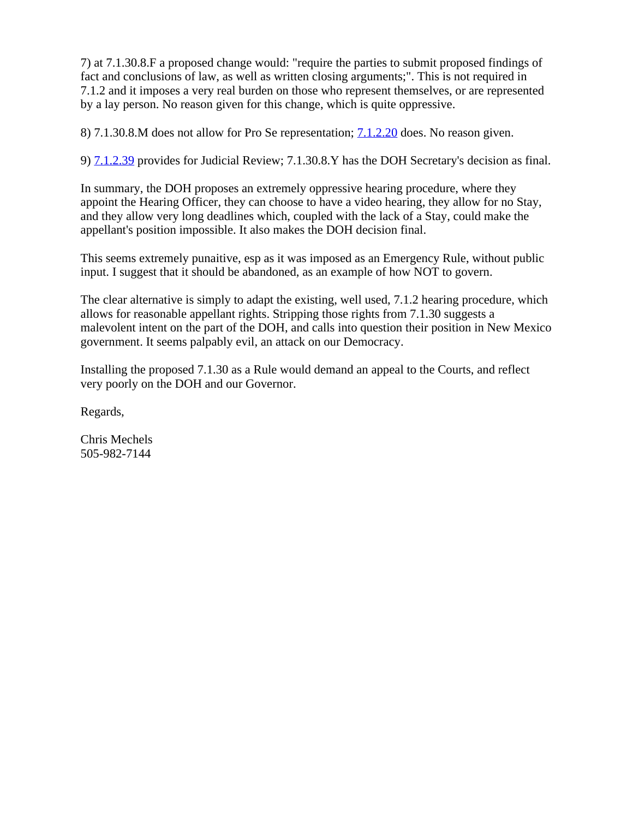7) at 7.1.30.8.F a proposed change would: "require the parties to submit proposed findings of fact and conclusions of law, as well as written closing arguments;". This is not required in 7.1.2 and it imposes a very real burden on those who represent themselves, or are represented by a lay person. No reason given for this change, which is quite oppressive.

8) 7.1.30.8.M does not allow for Pro Se representation; [7.1.2.20](https://protect-us.mimecast.com/s/medNCkRlvJI57ZpmsJ6O3J?domain=7.1.2.20) does. No reason given.

9) [7.1.2.39](https://protect-us.mimecast.com/s/29-eClYmwKfXyDvguYo9xr?domain=7.1.2.39) provides for Judicial Review; 7.1.30.8.Y has the DOH Secretary's decision as final.

In summary, the DOH proposes an extremely oppressive hearing procedure, where they appoint the Hearing Officer, they can choose to have a video hearing, they allow for no Stay, and they allow very long deadlines which, coupled with the lack of a Stay, could make the appellant's position impossible. It also makes the DOH decision final.

This seems extremely punaitive, esp as it was imposed as an Emergency Rule, without public input. I suggest that it should be abandoned, as an example of how NOT to govern.

The clear alternative is simply to adapt the existing, well used, 7.1.2 hearing procedure, which allows for reasonable appellant rights. Stripping those rights from 7.1.30 suggests a malevolent intent on the part of the DOH, and calls into question their position in New Mexico government. It seems palpably evil, an attack on our Democracy.

Installing the proposed 7.1.30 as a Rule would demand an appeal to the Courts, and reflect very poorly on the DOH and our Governor.

Regards,

Chris Mechels 505-982-7144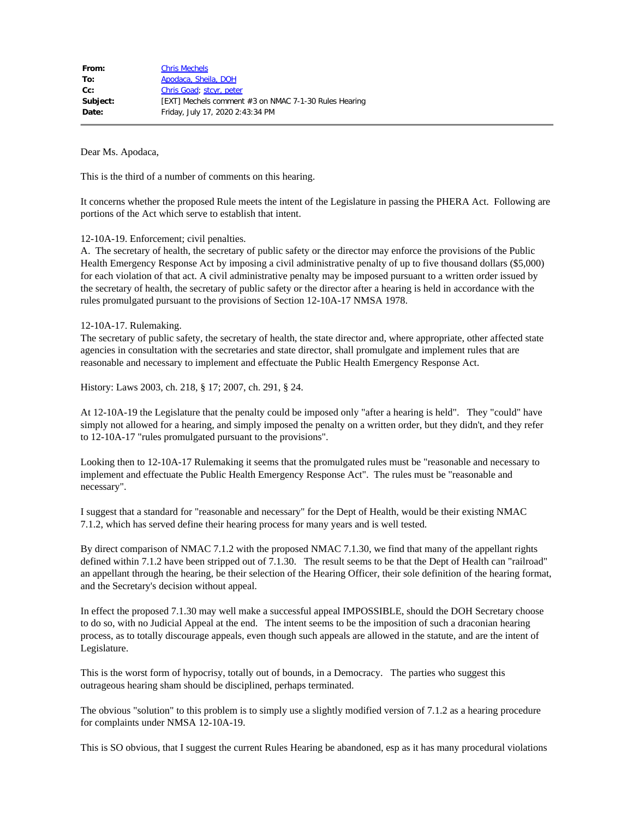| From:    | <b>Chris Mechels</b>                                  |
|----------|-------------------------------------------------------|
| To:      | Apodaca, Sheila, DOH                                  |
| $Cc$ :   | Chris Goad; stcyr, peter                              |
| Subject: | [EXT] Mechels comment #3 on NMAC 7-1-30 Rules Hearing |
| Date:    | Friday, July 17, 2020 2:43:34 PM                      |
|          |                                                       |

This is the third of a number of comments on this hearing.

It concerns whether the proposed Rule meets the intent of the Legislature in passing the PHERA Act. Following are portions of the Act which serve to establish that intent.

12-10A-19. Enforcement; civil penalties.

A. The secretary of health, the secretary of public safety or the director may enforce the provisions of the Public Health Emergency Response Act by imposing a civil administrative penalty of up to five thousand dollars (\$5,000) for each violation of that act. A civil administrative penalty may be imposed pursuant to a written order issued by the secretary of health, the secretary of public safety or the director after a hearing is held in accordance with the rules promulgated pursuant to the provisions of Section 12-10A-17 NMSA 1978.

12-10A-17. Rulemaking.

The secretary of public safety, the secretary of health, the state director and, where appropriate, other affected state agencies in consultation with the secretaries and state director, shall promulgate and implement rules that are reasonable and necessary to implement and effectuate the Public Health Emergency Response Act.

History: Laws 2003, ch. 218, § 17; 2007, ch. 291, § 24.

At 12-10A-19 the Legislature that the penalty could be imposed only "after a hearing is held". They "could" have simply not allowed for a hearing, and simply imposed the penalty on a written order, but they didn't, and they refer to 12-10A-17 "rules promulgated pursuant to the provisions".

Looking then to 12-10A-17 Rulemaking it seems that the promulgated rules must be "reasonable and necessary to implement and effectuate the Public Health Emergency Response Act". The rules must be "reasonable and necessary".

I suggest that a standard for "reasonable and necessary" for the Dept of Health, would be their existing NMAC 7.1.2, which has served define their hearing process for many years and is well tested.

By direct comparison of NMAC 7.1.2 with the proposed NMAC 7.1.30, we find that many of the appellant rights defined within 7.1.2 have been stripped out of 7.1.30. The result seems to be that the Dept of Health can "railroad" an appellant through the hearing, be their selection of the Hearing Officer, their sole definition of the hearing format, and the Secretary's decision without appeal.

In effect the proposed 7.1.30 may well make a successful appeal IMPOSSIBLE, should the DOH Secretary choose to do so, with no Judicial Appeal at the end. The intent seems to be the imposition of such a draconian hearing process, as to totally discourage appeals, even though such appeals are allowed in the statute, and are the intent of Legislature.

This is the worst form of hypocrisy, totally out of bounds, in a Democracy. The parties who suggest this outrageous hearing sham should be disciplined, perhaps terminated.

The obvious "solution" to this problem is to simply use a slightly modified version of 7.1.2 as a hearing procedure for complaints under NMSA 12-10A-19.

This is SO obvious, that I suggest the current Rules Hearing be abandoned, esp as it has many procedural violations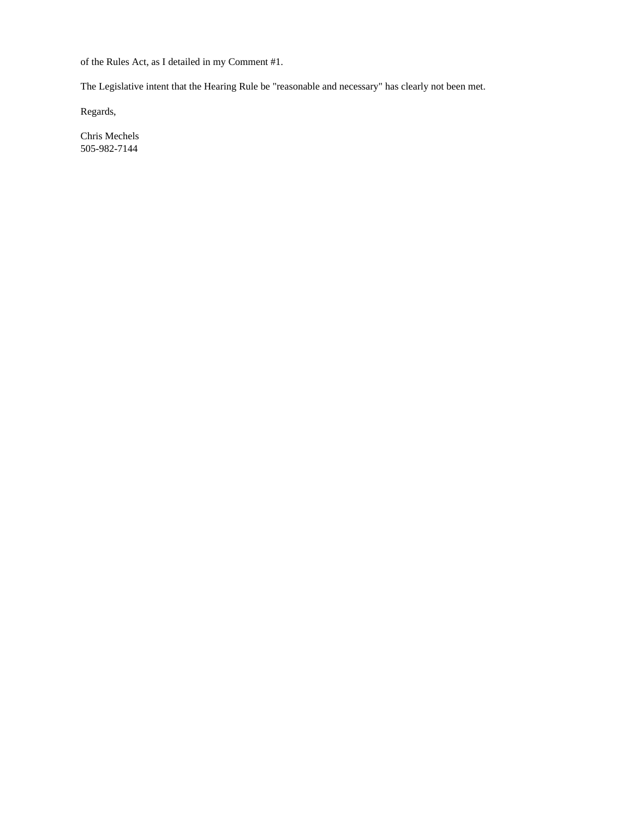of the Rules Act, as I detailed in my Comment #1.

The Legislative intent that the Hearing Rule be "reasonable and necessary" has clearly not been met.

Regards,

Chris Mechels 505-982-7144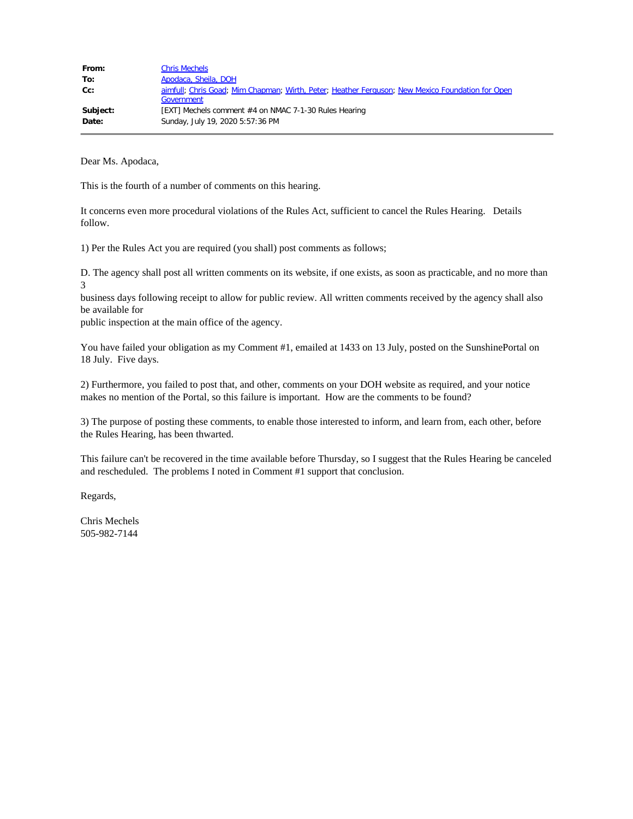| From:    | <b>Chris Mechels</b>                                                                             |
|----------|--------------------------------------------------------------------------------------------------|
| To:      | Apodaca, Sheila, DOH                                                                             |
| Cc:      | aimfull; Chris Goad; Mim Chapman; Wirth, Peter; Heather Ferguson; New Mexico Foundation for Open |
|          | Government                                                                                       |
| Subject: | [EXT] Mechels comment #4 on NMAC 7-1-30 Rules Hearing                                            |
| Date:    | Sunday, July 19, 2020 5:57:36 PM                                                                 |

This is the fourth of a number of comments on this hearing.

It concerns even more procedural violations of the Rules Act, sufficient to cancel the Rules Hearing. Details follow.

1) Per the Rules Act you are required (you shall) post comments as follows;

D. The agency shall post all written comments on its website, if one exists, as soon as practicable, and no more than 3

business days following receipt to allow for public review. All written comments received by the agency shall also be available for

public inspection at the main office of the agency.

You have failed your obligation as my Comment #1, emailed at 1433 on 13 July, posted on the SunshinePortal on 18 July. Five days.

2) Furthermore, you failed to post that, and other, comments on your DOH website as required, and your notice makes no mention of the Portal, so this failure is important. How are the comments to be found?

3) The purpose of posting these comments, to enable those interested to inform, and learn from, each other, before the Rules Hearing, has been thwarted.

This failure can't be recovered in the time available before Thursday, so I suggest that the Rules Hearing be canceled and rescheduled. The problems I noted in Comment #1 support that conclusion.

Regards,

Chris Mechels 505-982-7144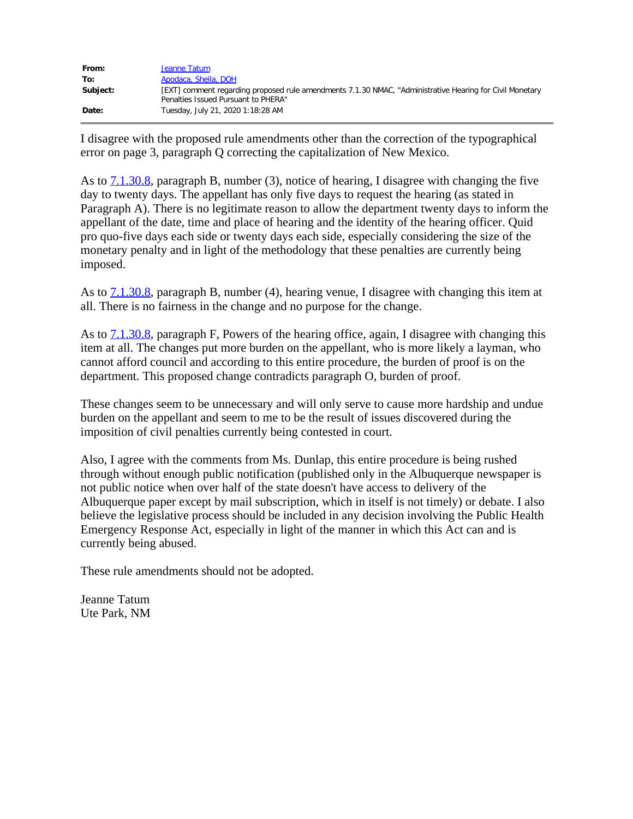| From:    | Jeanne Tatum                                                                                                                                    |
|----------|-------------------------------------------------------------------------------------------------------------------------------------------------|
| To:      | Apodaca, Sheila, DOH                                                                                                                            |
| Subject: | [EXT] comment regarding proposed rule amendments 7.1.30 NMAC, "Administrative Hearing for Civil Monetary<br>Penalties Issued Pursuant to PHERA" |
| Date:    | Tuesday, July 21, 2020 1:18:28 AM                                                                                                               |

I disagree with the proposed rule amendments other than the correction of the typographical error on page 3, paragraph Q correcting the capitalization of New Mexico.

As to [7.1.30.8,](https://protect-us.mimecast.com/s/urlzCwpALYFyNnz7IqEyzc?domain=7.1.30.8) paragraph B, number (3), notice of hearing, I disagree with changing the five day to twenty days. The appellant has only five days to request the hearing (as stated in Paragraph A). There is no legitimate reason to allow the department twenty days to inform the appellant of the date, time and place of hearing and the identity of the hearing officer. Quid pro quo-five days each side or twenty days each side, especially considering the size of the monetary penalty and in light of the methodology that these penalties are currently being imposed.

As to  $7.1.30.8$ , paragraph B, number (4), hearing venue, I disagree with changing this item at all. There is no fairness in the change and no purpose for the change.

As to [7.1.30.8,](https://protect-us.mimecast.com/s/urlzCwpALYFyNnz7IqEyzc?domain=7.1.30.8) paragraph F, Powers of the hearing office, again, I disagree with changing this item at all. The changes put more burden on the appellant, who is more likely a layman, who cannot afford council and according to this entire procedure, the burden of proof is on the department. This proposed change contradicts paragraph O, burden of proof.

These changes seem to be unnecessary and will only serve to cause more hardship and undue burden on the appellant and seem to me to be the result of issues discovered during the imposition of civil penalties currently being contested in court.

Also, I agree with the comments from Ms. Dunlap, this entire procedure is being rushed through without enough public notification (published only in the Albuquerque newspaper is not public notice when over half of the state doesn't have access to delivery of the Albuquerque paper except by mail subscription, which in itself is not timely) or debate. I also believe the legislative process should be included in any decision involving the Public Health Emergency Response Act, especially in light of the manner in which this Act can and is currently being abused.

These rule amendments should not be adopted.

Jeanne Tatum Ute Park, NM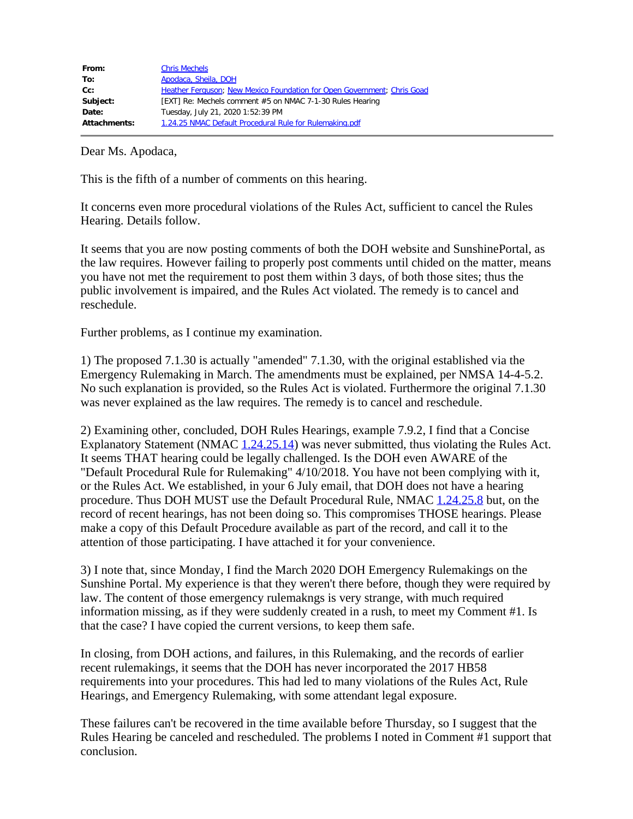| From:               | <b>Chris Mechels</b>                                                    |
|---------------------|-------------------------------------------------------------------------|
| To:                 | Apodaca, Sheila, DOH                                                    |
| $Cc$ :              | Heather Ferguson; New Mexico Foundation for Open Government; Chris Goad |
| Subject:            | [EXT] Re: Mechels comment #5 on NMAC 7-1-30 Rules Hearing               |
| Date:               | Tuesday, July 21, 2020 1:52:39 PM                                       |
| <b>Attachments:</b> | 1.24.25 NMAC Default Procedural Rule for Rulemaking.pdf                 |

This is the fifth of a number of comments on this hearing.

It concerns even more procedural violations of the Rules Act, sufficient to cancel the Rules Hearing. Details follow.

It seems that you are now posting comments of both the DOH website and SunshinePortal, as the law requires. However failing to properly post comments until chided on the matter, means you have not met the requirement to post them within 3 days, of both those sites; thus the public involvement is impaired, and the Rules Act violated. The remedy is to cancel and reschedule.

Further problems, as I continue my examination.

1) The proposed 7.1.30 is actually "amended" 7.1.30, with the original established via the Emergency Rulemaking in March. The amendments must be explained, per NMSA 14-4-5.2. No such explanation is provided, so the Rules Act is violated. Furthermore the original 7.1.30 was never explained as the law requires. The remedy is to cancel and reschedule.

2) Examining other, concluded, DOH Rules Hearings, example 7.9.2, I find that a Concise Explanatory Statement (NMAC [1.24.25.14](https://protect-us.mimecast.com/s/dD22CM82vYFzY7g9tJl7WB?domain=1.24.25.14)) was never submitted, thus violating the Rules Act. It seems THAT hearing could be legally challenged. Is the DOH even AWARE of the "Default Procedural Rule for Rulemaking" 4/10/2018. You have not been complying with it, or the Rules Act. We established, in your 6 July email, that DOH does not have a hearing procedure. Thus DOH MUST use the Default Procedural Rule, NMAC [1.24.25.8](https://protect-us.mimecast.com/s/e5FpCNk2wZujpzA9fR60jU?domain=1.24.25.8) but, on the record of recent hearings, has not been doing so. This compromises THOSE hearings. Please make a copy of this Default Procedure available as part of the record, and call it to the attention of those participating. I have attached it for your convenience.

3) I note that, since Monday, I find the March 2020 DOH Emergency Rulemakings on the Sunshine Portal. My experience is that they weren't there before, though they were required by law. The content of those emergency rulemakngs is very strange, with much required information missing, as if they were suddenly created in a rush, to meet my Comment #1. Is that the case? I have copied the current versions, to keep them safe.

In closing, from DOH actions, and failures, in this Rulemaking, and the records of earlier recent rulemakings, it seems that the DOH has never incorporated the 2017 HB58 requirements into your procedures. This had led to many violations of the Rules Act, Rule Hearings, and Emergency Rulemaking, with some attendant legal exposure.

These failures can't be recovered in the time available before Thursday, so I suggest that the Rules Hearing be canceled and rescheduled. The problems I noted in Comment #1 support that conclusion.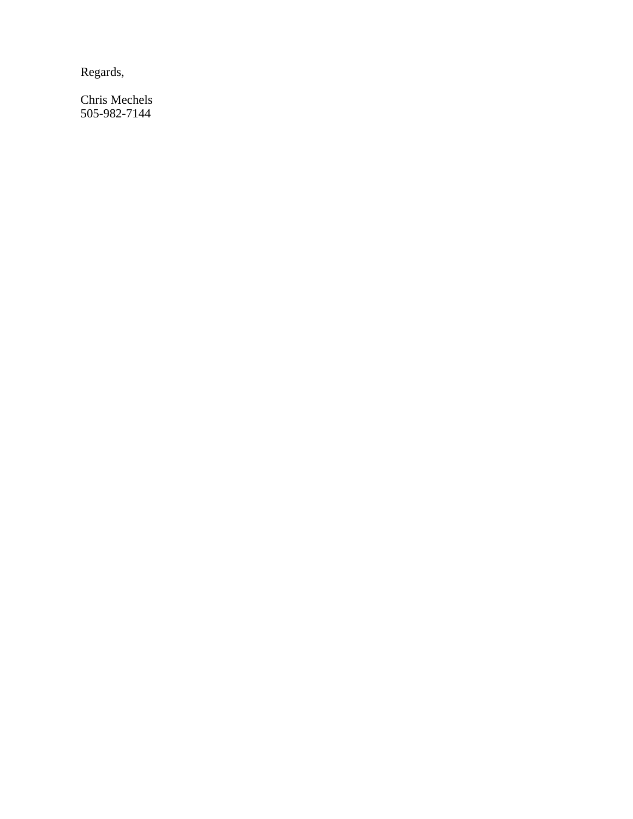Regards,

Chris Mechels 505-982-7144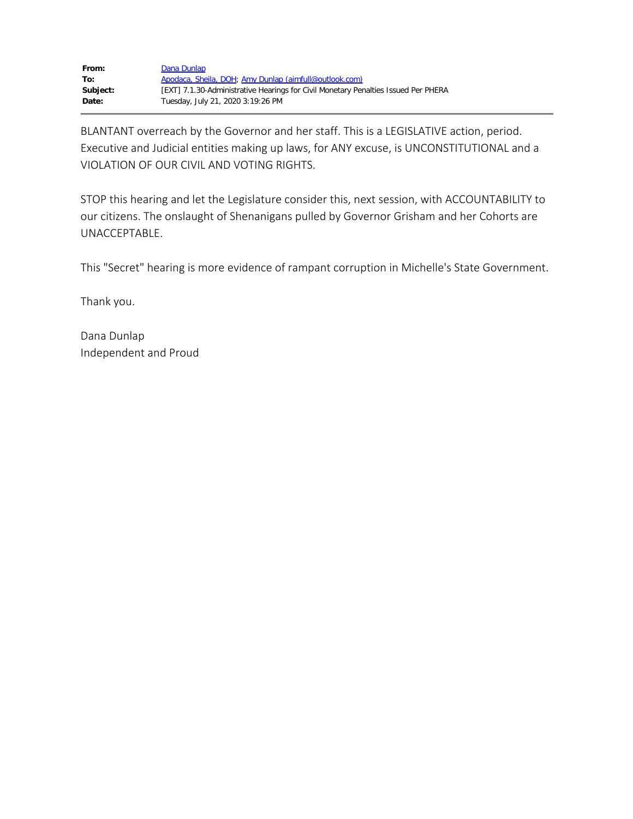| From:    | Dana Dunlap                                                                        |
|----------|------------------------------------------------------------------------------------|
| To:      | Apodaca, Sheila, DOH; Amy Dunlap (aimfull@outlook.com)                             |
| Subject: | [EXT] 7.1.30-Administrative Hearings for Civil Monetary Penalties Issued Per PHERA |
| Date:    | Tuesday, July 21, 2020 3:19:26 PM                                                  |

BLANTANT overreach by the Governor and her staff. This is a LEGISLATIVE action, period. Executive and Judicial entities making up laws, for ANY excuse, is UNCONSTITUTIONAL and a VIOLATION OF OUR CIVIL AND VOTING RIGHTS.

STOP this hearing and let the Legislature consider this, next session, with ACCOUNTABILITY to our citizens. The onslaught of Shenanigans pulled by Governor Grisham and her Cohorts are UNACCEPTABLE.

This "Secret" hearing is more evidence of rampant corruption in Michelle's State Government.

Thank you.

Dana Dunlap Independent and Proud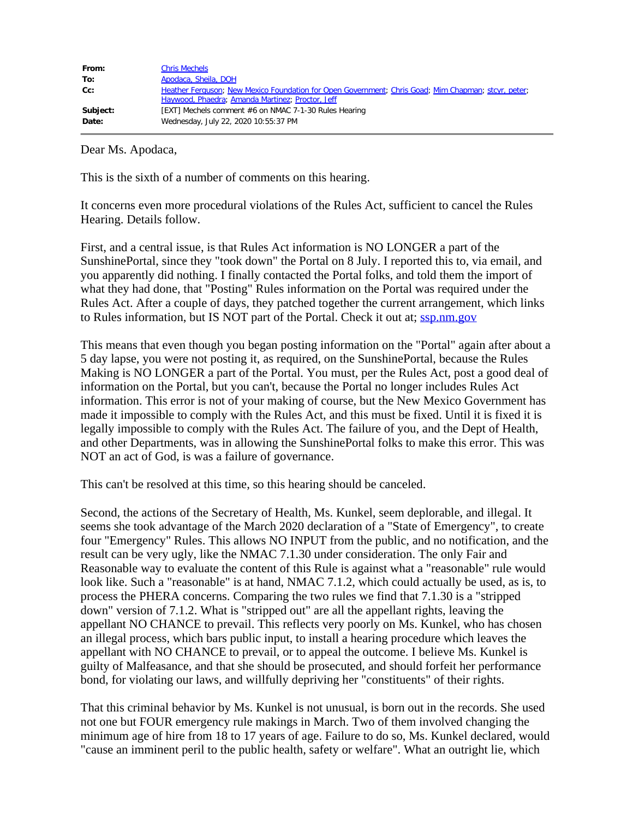| From:    | <b>Chris Mechels</b>                                                                                |
|----------|-----------------------------------------------------------------------------------------------------|
| To:      | Apodaca, Sheila, DOH                                                                                |
| Cc:      | Heather Ferguson; New Mexico Foundation for Open Government; Chris Goad; Mim Chapman; stcyr, peter; |
|          | Haywood, Phaedra; Amanda Martinez; Proctor, Jeff                                                    |
| Subject: | [EXT] Mechels comment #6 on NMAC 7-1-30 Rules Hearing                                               |
| Date:    | Wednesday, July 22, 2020 10:55:37 PM                                                                |

This is the sixth of a number of comments on this hearing.

It concerns even more procedural violations of the Rules Act, sufficient to cancel the Rules Hearing. Details follow.

First, and a central issue, is that Rules Act information is NO LONGER a part of the SunshinePortal, since they "took down" the Portal on 8 July. I reported this to, via email, and you apparently did nothing. I finally contacted the Portal folks, and told them the import of what they had done, that "Posting" Rules information on the Portal was required under the Rules Act. After a couple of days, they patched together the current arrangement, which links to Rules information, but IS NOT part of the Portal. Check it out at; [ssp.nm.gov](https://protect-us.mimecast.com/s/dqfvCDk2jMu3LJDwt5A83_?domain=ssp.nm.gov)

This means that even though you began posting information on the "Portal" again after about a 5 day lapse, you were not posting it, as required, on the SunshinePortal, because the Rules Making is NO LONGER a part of the Portal. You must, per the Rules Act, post a good deal of information on the Portal, but you can't, because the Portal no longer includes Rules Act information. This error is not of your making of course, but the New Mexico Government has made it impossible to comply with the Rules Act, and this must be fixed. Until it is fixed it is legally impossible to comply with the Rules Act. The failure of you, and the Dept of Health, and other Departments, was in allowing the SunshinePortal folks to make this error. This was NOT an act of God, is was a failure of governance.

This can't be resolved at this time, so this hearing should be canceled.

Second, the actions of the Secretary of Health, Ms. Kunkel, seem deplorable, and illegal. It seems she took advantage of the March 2020 declaration of a "State of Emergency", to create four "Emergency" Rules. This allows NO INPUT from the public, and no notification, and the result can be very ugly, like the NMAC 7.1.30 under consideration. The only Fair and Reasonable way to evaluate the content of this Rule is against what a "reasonable" rule would look like. Such a "reasonable" is at hand, NMAC 7.1.2, which could actually be used, as is, to process the PHERA concerns. Comparing the two rules we find that 7.1.30 is a "stripped down" version of 7.1.2. What is "stripped out" are all the appellant rights, leaving the appellant NO CHANCE to prevail. This reflects very poorly on Ms. Kunkel, who has chosen an illegal process, which bars public input, to install a hearing procedure which leaves the appellant with NO CHANCE to prevail, or to appeal the outcome. I believe Ms. Kunkel is guilty of Malfeasance, and that she should be prosecuted, and should forfeit her performance bond, for violating our laws, and willfully depriving her "constituents" of their rights.

That this criminal behavior by Ms. Kunkel is not unusual, is born out in the records. She used not one but FOUR emergency rule makings in March. Two of them involved changing the minimum age of hire from 18 to 17 years of age. Failure to do so, Ms. Kunkel declared, would "cause an imminent peril to the public health, safety or welfare". What an outright lie, which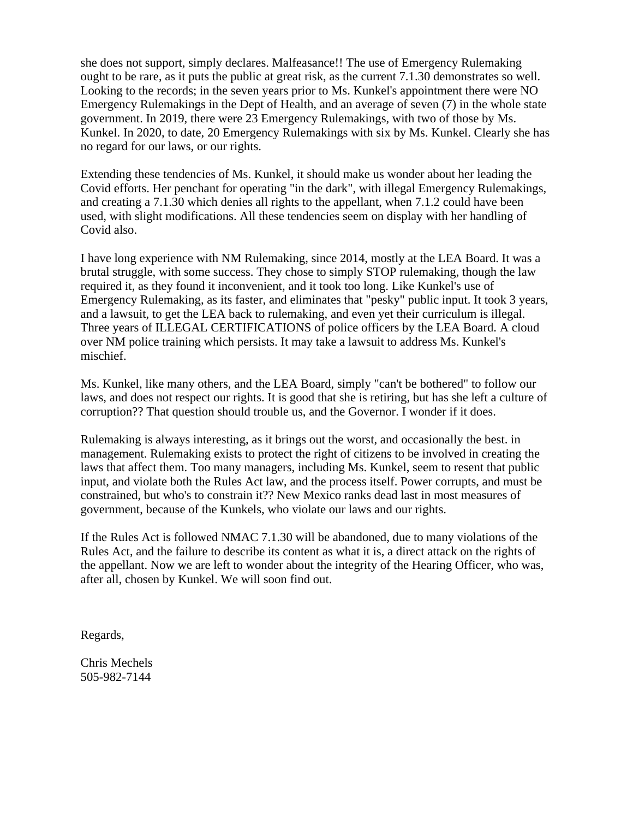she does not support, simply declares. Malfeasance!! The use of Emergency Rulemaking ought to be rare, as it puts the public at great risk, as the current 7.1.30 demonstrates so well. Looking to the records; in the seven years prior to Ms. Kunkel's appointment there were NO Emergency Rulemakings in the Dept of Health, and an average of seven (7) in the whole state government. In 2019, there were 23 Emergency Rulemakings, with two of those by Ms. Kunkel. In 2020, to date, 20 Emergency Rulemakings with six by Ms. Kunkel. Clearly she has no regard for our laws, or our rights.

Extending these tendencies of Ms. Kunkel, it should make us wonder about her leading the Covid efforts. Her penchant for operating "in the dark", with illegal Emergency Rulemakings, and creating a 7.1.30 which denies all rights to the appellant, when 7.1.2 could have been used, with slight modifications. All these tendencies seem on display with her handling of Covid also.

I have long experience with NM Rulemaking, since 2014, mostly at the LEA Board. It was a brutal struggle, with some success. They chose to simply STOP rulemaking, though the law required it, as they found it inconvenient, and it took too long. Like Kunkel's use of Emergency Rulemaking, as its faster, and eliminates that "pesky" public input. It took 3 years, and a lawsuit, to get the LEA back to rulemaking, and even yet their curriculum is illegal. Three years of ILLEGAL CERTIFICATIONS of police officers by the LEA Board. A cloud over NM police training which persists. It may take a lawsuit to address Ms. Kunkel's mischief.

Ms. Kunkel, like many others, and the LEA Board, simply "can't be bothered" to follow our laws, and does not respect our rights. It is good that she is retiring, but has she left a culture of corruption?? That question should trouble us, and the Governor. I wonder if it does.

Rulemaking is always interesting, as it brings out the worst, and occasionally the best. in management. Rulemaking exists to protect the right of citizens to be involved in creating the laws that affect them. Too many managers, including Ms. Kunkel, seem to resent that public input, and violate both the Rules Act law, and the process itself. Power corrupts, and must be constrained, but who's to constrain it?? New Mexico ranks dead last in most measures of government, because of the Kunkels, who violate our laws and our rights.

If the Rules Act is followed NMAC 7.1.30 will be abandoned, due to many violations of the Rules Act, and the failure to describe its content as what it is, a direct attack on the rights of the appellant. Now we are left to wonder about the integrity of the Hearing Officer, who was, after all, chosen by Kunkel. We will soon find out.

Regards,

Chris Mechels 505-982-7144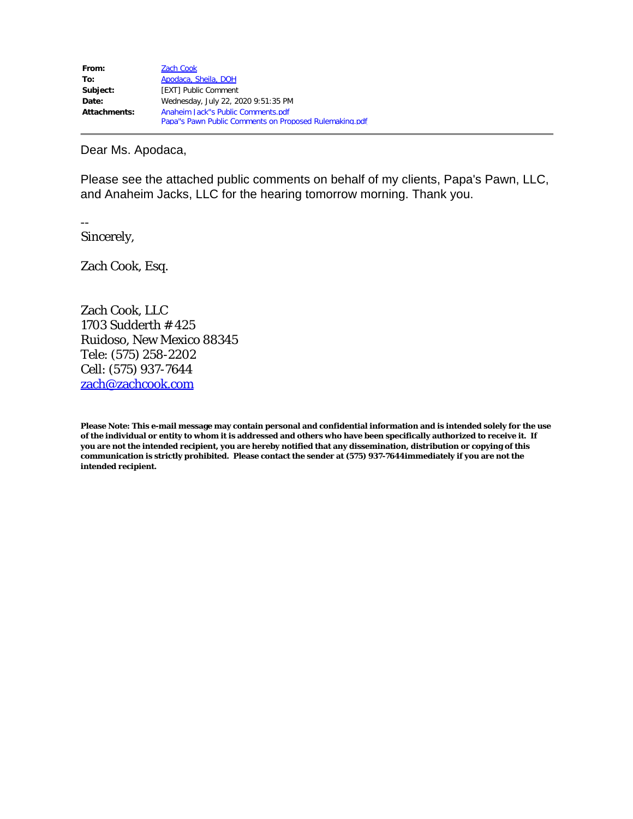| From:               | <b>Zach Cook</b>                                       |
|---------------------|--------------------------------------------------------|
| To:                 | Apodaca, Sheila, DOH                                   |
| Subject:            | [EXT] Public Comment                                   |
| Date:               | Wednesday, July 22, 2020 9:51:35 PM                    |
| <b>Attachments:</b> | Anaheim Jack"s Public Comments.pdf                     |
|                     | Papa"s Pawn Public Comments on Proposed Rulemaking.pdf |

Please see the attached public comments on behalf of my clients, Papa's Pawn, LLC, and Anaheim Jacks, LLC for the hearing tomorrow morning. Thank you.

--

Sincerely,

Zach Cook, Esq.

Zach Cook, LLC 1703 Sudderth # 425 Ruidoso, New Mexico 88345 Tele: (575) 258-2202 Cell: (575) 937-7644 [zach@zachcook.com](mailto:zach@zachcook.com)

**Please Note: This e-mail message may contain personal and confidential information and is intended solely for the use of the individual or entity to whom it is addressed and others who have been specifically authorized to receive it. If you are not the intended recipient, you are hereby notified that any dissemination, distribution or copying of this communication is strictly prohibited. Please contact the sender at (575) 937-7644immediately if you are not the intended recipient.**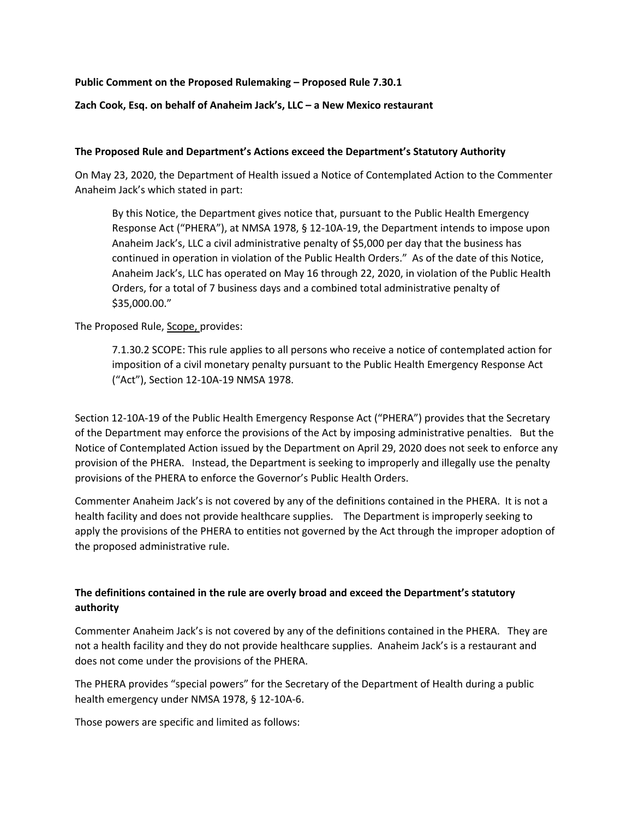## **Public Comment on the Proposed Rulemaking – Proposed Rule 7.30.1**

## **Zach Cook, Esq. on behalf of Anaheim Jack's, LLC – a New Mexico restaurant**

#### **The Proposed Rule and Department's Actions exceed the Department's Statutory Authority**

On May 23, 2020, the Department of Health issued a Notice of Contemplated Action to the Commenter Anaheim Jack's which stated in part:

By this Notice, the Department gives notice that, pursuant to the Public Health Emergency Response Act ("PHERA"), at NMSA 1978, § 12-10A-19, the Department intends to impose upon Anaheim Jack's, LLC a civil administrative penalty of \$5,000 per day that the business has continued in operation in violation of the Public Health Orders." As of the date of this Notice, Anaheim Jack's, LLC has operated on May 16 through 22, 2020, in violation of the Public Health Orders, for a total of 7 business days and a combined total administrative penalty of \$35,000.00."

The Proposed Rule, Scope, provides:

7.1.30.2 SCOPE: This rule applies to all persons who receive a notice of contemplated action for imposition of a civil monetary penalty pursuant to the Public Health Emergency Response Act ("Act"), Section 12-10A-19 NMSA 1978.

Section 12-10A-19 of the Public Health Emergency Response Act ("PHERA") provides that the Secretary of the Department may enforce the provisions of the Act by imposing administrative penalties. But the Notice of Contemplated Action issued by the Department on April 29, 2020 does not seek to enforce any provision of the PHERA. Instead, the Department is seeking to improperly and illegally use the penalty provisions of the PHERA to enforce the Governor's Public Health Orders.

Commenter Anaheim Jack's is not covered by any of the definitions contained in the PHERA. It is not a health facility and does not provide healthcare supplies. The Department is improperly seeking to apply the provisions of the PHERA to entities not governed by the Act through the improper adoption of the proposed administrative rule.

# **The definitions contained in the rule are overly broad and exceed the Department's statutory authority**

Commenter Anaheim Jack's is not covered by any of the definitions contained in the PHERA. They are not a health facility and they do not provide healthcare supplies. Anaheim Jack's is a restaurant and does not come under the provisions of the PHERA.

The PHERA provides "special powers" for the Secretary of the Department of Health during a public health emergency under NMSA 1978, § 12-10A-6.

Those powers are specific and limited as follows: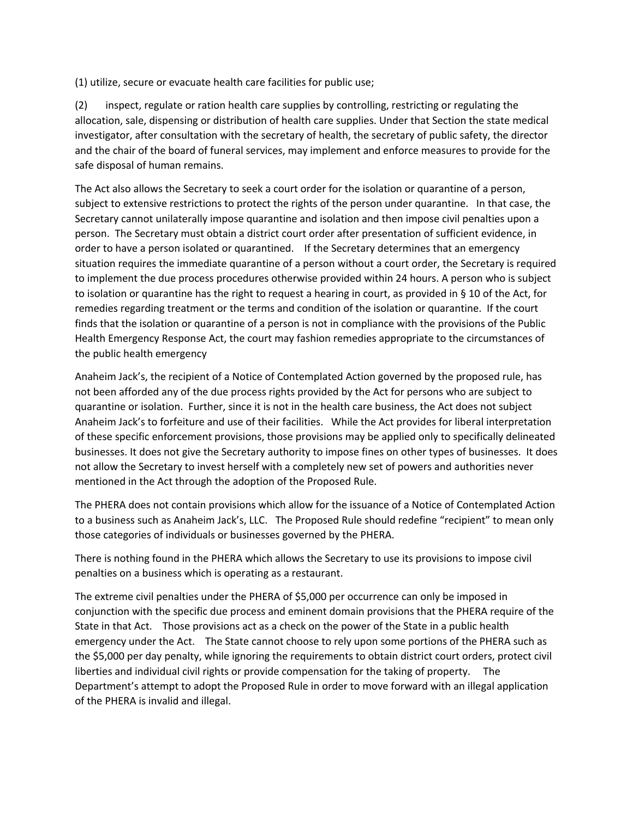(1) utilize, secure or evacuate health care facilities for public use;

(2) inspect, regulate or ration health care supplies by controlling, restricting or regulating the allocation, sale, dispensing or distribution of health care supplies. Under that Section the state medical investigator, after consultation with the secretary of health, the secretary of public safety, the director and the chair of the board of funeral services, may implement and enforce measures to provide for the safe disposal of human remains.

The Act also allows the Secretary to seek a court order for the isolation or quarantine of a person, subject to extensive restrictions to protect the rights of the person under quarantine. In that case, the Secretary cannot unilaterally impose quarantine and isolation and then impose civil penalties upon a person. The Secretary must obtain a district court order after presentation of sufficient evidence, in order to have a person isolated or quarantined. If the Secretary determines that an emergency situation requires the immediate quarantine of a person without a court order, the Secretary is required to implement the due process procedures otherwise provided within 24 hours. A person who is subject to isolation or quarantine has the right to request a hearing in court, as provided in § 10 of the Act, for remedies regarding treatment or the terms and condition of the isolation or quarantine. If the court finds that the isolation or quarantine of a person is not in compliance with the provisions of the Public Health Emergency Response Act, the court may fashion remedies appropriate to the circumstances of the public health emergency

Anaheim Jack's, the recipient of a Notice of Contemplated Action governed by the proposed rule, has not been afforded any of the due process rights provided by the Act for persons who are subject to quarantine or isolation. Further, since it is not in the health care business, the Act does not subject Anaheim Jack's to forfeiture and use of their facilities. While the Act provides for liberal interpretation of these specific enforcement provisions, those provisions may be applied only to specifically delineated businesses. It does not give the Secretary authority to impose fines on other types of businesses. It does not allow the Secretary to invest herself with a completely new set of powers and authorities never mentioned in the Act through the adoption of the Proposed Rule.

The PHERA does not contain provisions which allow for the issuance of a Notice of Contemplated Action to a business such as Anaheim Jack's, LLC. The Proposed Rule should redefine "recipient" to mean only those categories of individuals or businesses governed by the PHERA.

There is nothing found in the PHERA which allows the Secretary to use its provisions to impose civil penalties on a business which is operating as a restaurant.

The extreme civil penalties under the PHERA of \$5,000 per occurrence can only be imposed in conjunction with the specific due process and eminent domain provisions that the PHERA require of the State in that Act. Those provisions act as a check on the power of the State in a public health emergency under the Act. The State cannot choose to rely upon some portions of the PHERA such as the \$5,000 per day penalty, while ignoring the requirements to obtain district court orders, protect civil liberties and individual civil rights or provide compensation for the taking of property. The Department's attempt to adopt the Proposed Rule in order to move forward with an illegal application of the PHERA is invalid and illegal.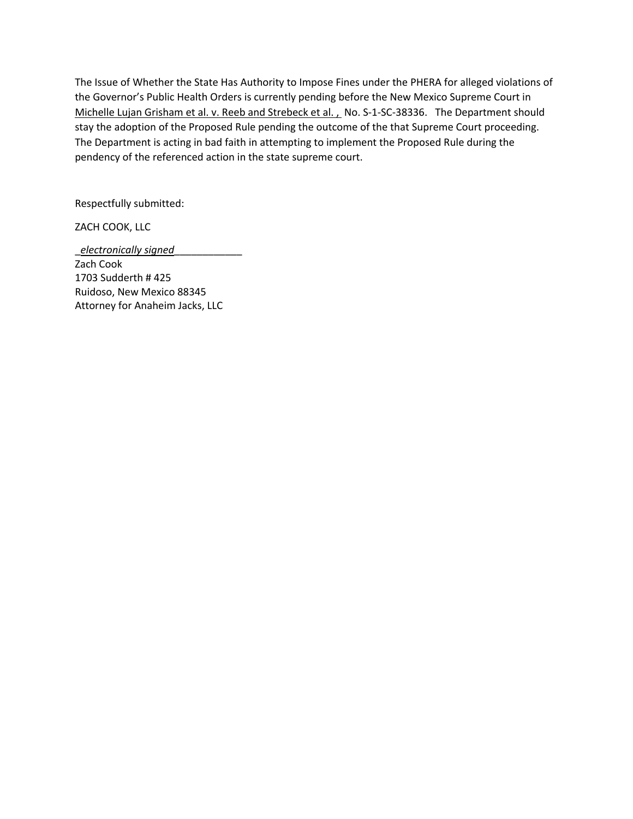The Issue of Whether the State Has Authority to Impose Fines under the PHERA for alleged violations of the Governor's Public Health Orders is currently pending before the New Mexico Supreme Court in Michelle Lujan Grisham et al. v. Reeb and Strebeck et al. , No. S-1-SC-38336. The Department should stay the adoption of the Proposed Rule pending the outcome of the that Supreme Court proceeding. The Department is acting in bad faith in attempting to implement the Proposed Rule during the pendency of the referenced action in the state supreme court.

Respectfully submitted:

ZACH COOK, LLC

\_*electronically signed*\_\_\_\_\_\_\_\_\_\_\_\_ Zach Cook 1703 Sudderth # 425 Ruidoso, New Mexico 88345 Attorney for Anaheim Jacks, LLC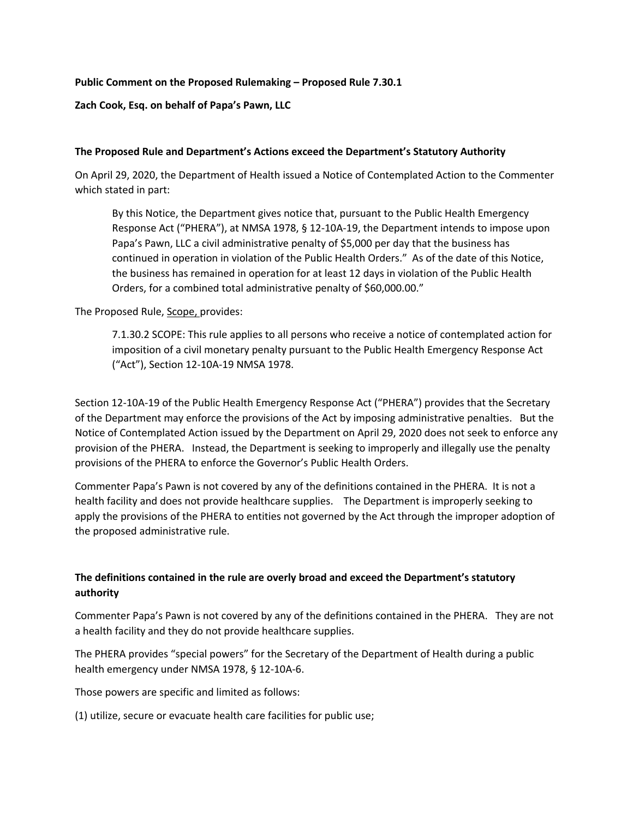## **Public Comment on the Proposed Rulemaking – Proposed Rule 7.30.1**

## **Zach Cook, Esq. on behalf of Papa's Pawn, LLC**

#### **The Proposed Rule and Department's Actions exceed the Department's Statutory Authority**

On April 29, 2020, the Department of Health issued a Notice of Contemplated Action to the Commenter which stated in part:

By this Notice, the Department gives notice that, pursuant to the Public Health Emergency Response Act ("PHERA"), at NMSA 1978, § 12-10A-19, the Department intends to impose upon Papa's Pawn, LLC a civil administrative penalty of \$5,000 per day that the business has continued in operation in violation of the Public Health Orders." As of the date of this Notice, the business has remained in operation for at least 12 days in violation of the Public Health Orders, for a combined total administrative penalty of \$60,000.00."

The Proposed Rule, Scope, provides:

7.1.30.2 SCOPE: This rule applies to all persons who receive a notice of contemplated action for imposition of a civil monetary penalty pursuant to the Public Health Emergency Response Act ("Act"), Section 12-10A-19 NMSA 1978.

Section 12-10A-19 of the Public Health Emergency Response Act ("PHERA") provides that the Secretary of the Department may enforce the provisions of the Act by imposing administrative penalties. But the Notice of Contemplated Action issued by the Department on April 29, 2020 does not seek to enforce any provision of the PHERA. Instead, the Department is seeking to improperly and illegally use the penalty provisions of the PHERA to enforce the Governor's Public Health Orders.

Commenter Papa's Pawn is not covered by any of the definitions contained in the PHERA. It is not a health facility and does not provide healthcare supplies. The Department is improperly seeking to apply the provisions of the PHERA to entities not governed by the Act through the improper adoption of the proposed administrative rule.

# **The definitions contained in the rule are overly broad and exceed the Department's statutory authority**

Commenter Papa's Pawn is not covered by any of the definitions contained in the PHERA. They are not a health facility and they do not provide healthcare supplies.

The PHERA provides "special powers" for the Secretary of the Department of Health during a public health emergency under NMSA 1978, § 12-10A-6.

Those powers are specific and limited as follows:

(1) utilize, secure or evacuate health care facilities for public use;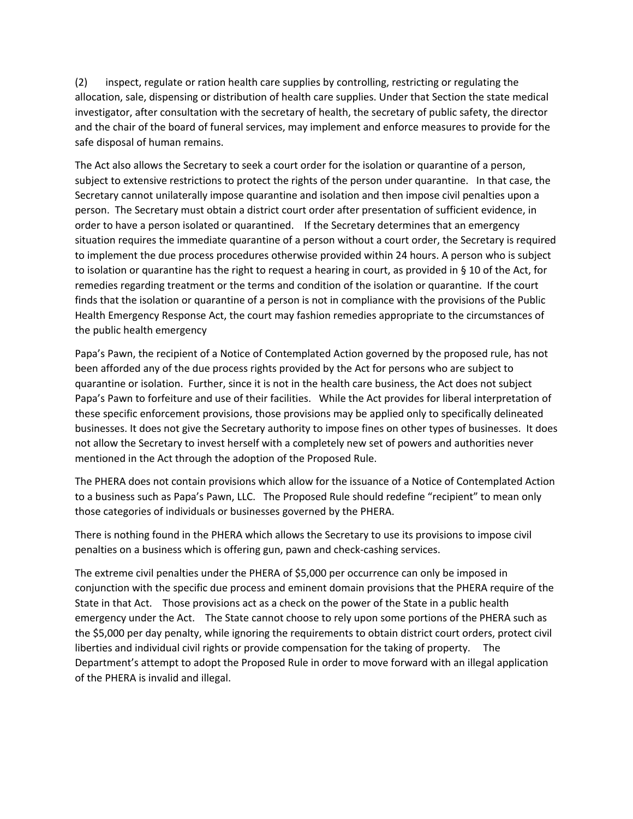(2) inspect, regulate or ration health care supplies by controlling, restricting or regulating the allocation, sale, dispensing or distribution of health care supplies. Under that Section the state medical investigator, after consultation with the secretary of health, the secretary of public safety, the director and the chair of the board of funeral services, may implement and enforce measures to provide for the safe disposal of human remains.

The Act also allows the Secretary to seek a court order for the isolation or quarantine of a person, subject to extensive restrictions to protect the rights of the person under quarantine. In that case, the Secretary cannot unilaterally impose quarantine and isolation and then impose civil penalties upon a person. The Secretary must obtain a district court order after presentation of sufficient evidence, in order to have a person isolated or quarantined. If the Secretary determines that an emergency situation requires the immediate quarantine of a person without a court order, the Secretary is required to implement the due process procedures otherwise provided within 24 hours. A person who is subject to isolation or quarantine has the right to request a hearing in court, as provided in § 10 of the Act, for remedies regarding treatment or the terms and condition of the isolation or quarantine. If the court finds that the isolation or quarantine of a person is not in compliance with the provisions of the Public Health Emergency Response Act, the court may fashion remedies appropriate to the circumstances of the public health emergency

Papa's Pawn, the recipient of a Notice of Contemplated Action governed by the proposed rule, has not been afforded any of the due process rights provided by the Act for persons who are subject to quarantine or isolation. Further, since it is not in the health care business, the Act does not subject Papa's Pawn to forfeiture and use of their facilities. While the Act provides for liberal interpretation of these specific enforcement provisions, those provisions may be applied only to specifically delineated businesses. It does not give the Secretary authority to impose fines on other types of businesses. It does not allow the Secretary to invest herself with a completely new set of powers and authorities never mentioned in the Act through the adoption of the Proposed Rule.

The PHERA does not contain provisions which allow for the issuance of a Notice of Contemplated Action to a business such as Papa's Pawn, LLC. The Proposed Rule should redefine "recipient" to mean only those categories of individuals or businesses governed by the PHERA.

There is nothing found in the PHERA which allows the Secretary to use its provisions to impose civil penalties on a business which is offering gun, pawn and check-cashing services.

The extreme civil penalties under the PHERA of \$5,000 per occurrence can only be imposed in conjunction with the specific due process and eminent domain provisions that the PHERA require of the State in that Act. Those provisions act as a check on the power of the State in a public health emergency under the Act. The State cannot choose to rely upon some portions of the PHERA such as the \$5,000 per day penalty, while ignoring the requirements to obtain district court orders, protect civil liberties and individual civil rights or provide compensation for the taking of property. The Department's attempt to adopt the Proposed Rule in order to move forward with an illegal application of the PHERA is invalid and illegal.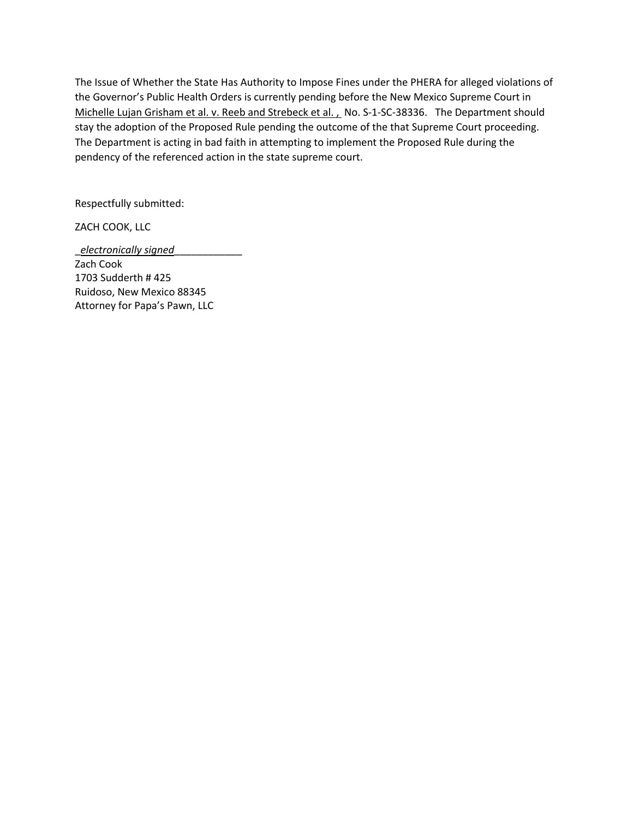The Issue of Whether the State Has Authority to Impose Fines under the PHERA for alleged violations of the Governor's Public Health Orders is currently pending before the New Mexico Supreme Court in Michelle Lujan Grisham et al. v. Reeb and Strebeck et al. , No. S-1-SC-38336. The Department should stay the adoption of the Proposed Rule pending the outcome of the that Supreme Court proceeding. The Department is acting in bad faith in attempting to implement the Proposed Rule during the pendency of the referenced action in the state supreme court.

Respectfully submitted:

ZACH COOK, LLC

\_*electronically signed*\_\_\_\_\_\_\_\_\_\_\_\_ Zach Cook 1703 Sudderth # 425 Ruidoso, New Mexico 88345 Attorney for Papa's Pawn, LLC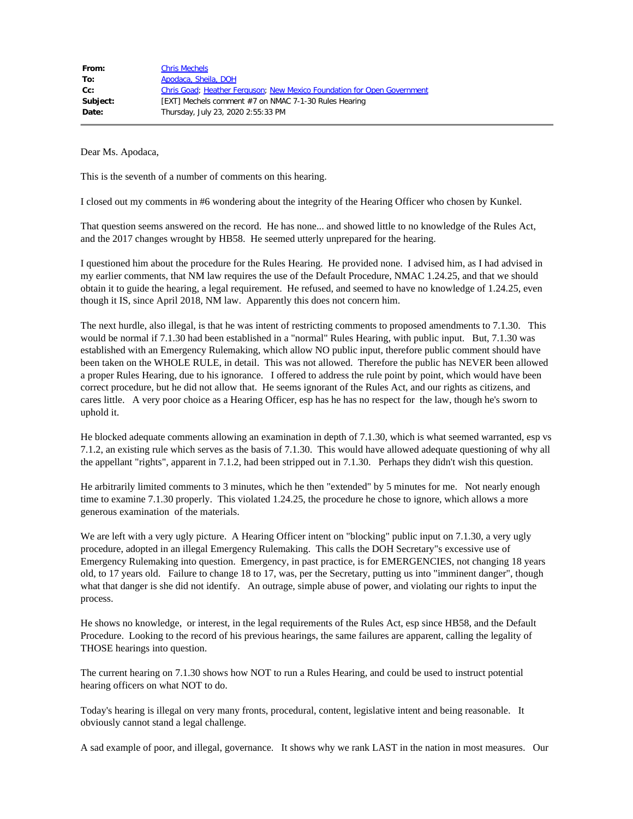| From:    | <b>Chris Mechels</b>                                                    |
|----------|-------------------------------------------------------------------------|
| To:      | Apodaca, Sheila, DOH                                                    |
| $Cc$ :   | Chris Goad; Heather Ferguson; New Mexico Foundation for Open Government |
| Subject: | [EXT] Mechels comment #7 on NMAC 7-1-30 Rules Hearing                   |
| Date:    | Thursday, July 23, 2020 2:55:33 PM                                      |
|          |                                                                         |

This is the seventh of a number of comments on this hearing.

I closed out my comments in #6 wondering about the integrity of the Hearing Officer who chosen by Kunkel.

That question seems answered on the record. He has none... and showed little to no knowledge of the Rules Act, and the 2017 changes wrought by HB58. He seemed utterly unprepared for the hearing.

I questioned him about the procedure for the Rules Hearing. He provided none. I advised him, as I had advised in my earlier comments, that NM law requires the use of the Default Procedure, NMAC 1.24.25, and that we should obtain it to guide the hearing, a legal requirement. He refused, and seemed to have no knowledge of 1.24.25, even though it IS, since April 2018, NM law. Apparently this does not concern him.

The next hurdle, also illegal, is that he was intent of restricting comments to proposed amendments to 7.1.30. This would be normal if 7.1.30 had been established in a "normal" Rules Hearing, with public input. But, 7.1.30 was established with an Emergency Rulemaking, which allow NO public input, therefore public comment should have been taken on the WHOLE RULE, in detail. This was not allowed. Therefore the public has NEVER been allowed a proper Rules Hearing, due to his ignorance. I offered to address the rule point by point, which would have been correct procedure, but he did not allow that. He seems ignorant of the Rules Act, and our rights as citizens, and cares little. A very poor choice as a Hearing Officer, esp has he has no respect for the law, though he's sworn to uphold it.

He blocked adequate comments allowing an examination in depth of 7.1.30, which is what seemed warranted, esp vs 7.1.2, an existing rule which serves as the basis of 7.1.30. This would have allowed adequate questioning of why all the appellant "rights", apparent in 7.1.2, had been stripped out in 7.1.30. Perhaps they didn't wish this question.

He arbitrarily limited comments to 3 minutes, which he then "extended" by 5 minutes for me. Not nearly enough time to examine 7.1.30 properly. This violated 1.24.25, the procedure he chose to ignore, which allows a more generous examination of the materials.

We are left with a very ugly picture. A Hearing Officer intent on "blocking" public input on 7.1.30, a very ugly procedure, adopted in an illegal Emergency Rulemaking. This calls the DOH Secretary"s excessive use of Emergency Rulemaking into question. Emergency, in past practice, is for EMERGENCIES, not changing 18 years old, to 17 years old. Failure to change 18 to 17, was, per the Secretary, putting us into "imminent danger", though what that danger is she did not identify. An outrage, simple abuse of power, and violating our rights to input the process.

He shows no knowledge, or interest, in the legal requirements of the Rules Act, esp since HB58, and the Default Procedure. Looking to the record of his previous hearings, the same failures are apparent, calling the legality of THOSE hearings into question.

The current hearing on 7.1.30 shows how NOT to run a Rules Hearing, and could be used to instruct potential hearing officers on what NOT to do.

Today's hearing is illegal on very many fronts, procedural, content, legislative intent and being reasonable. It obviously cannot stand a legal challenge.

A sad example of poor, and illegal, governance. It shows why we rank LAST in the nation in most measures. Our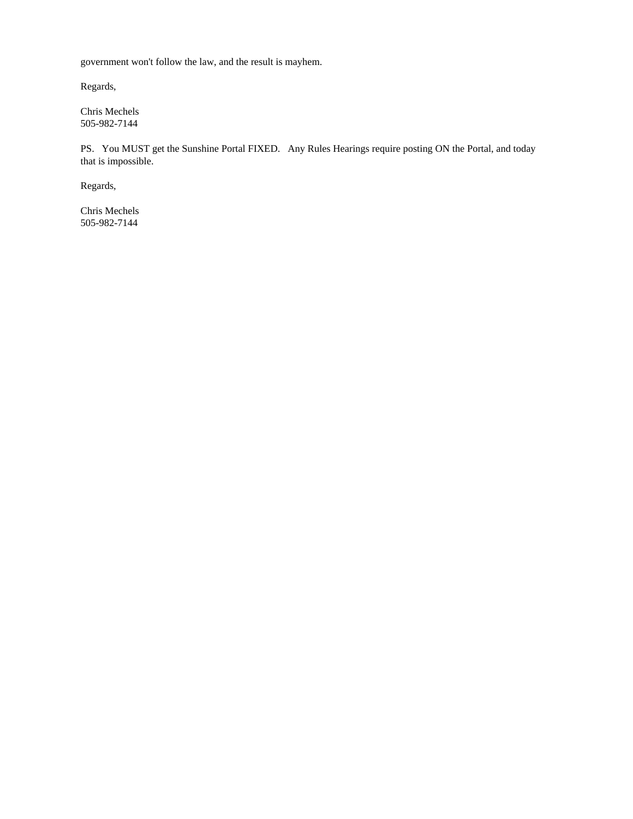government won't follow the law, and the result is mayhem.

Regards,

Chris Mechels 505-982-7144

PS. You MUST get the Sunshine Portal FIXED. Any Rules Hearings require posting ON the Portal, and today that is impossible.

Regards,

Chris Mechels 505-982-7144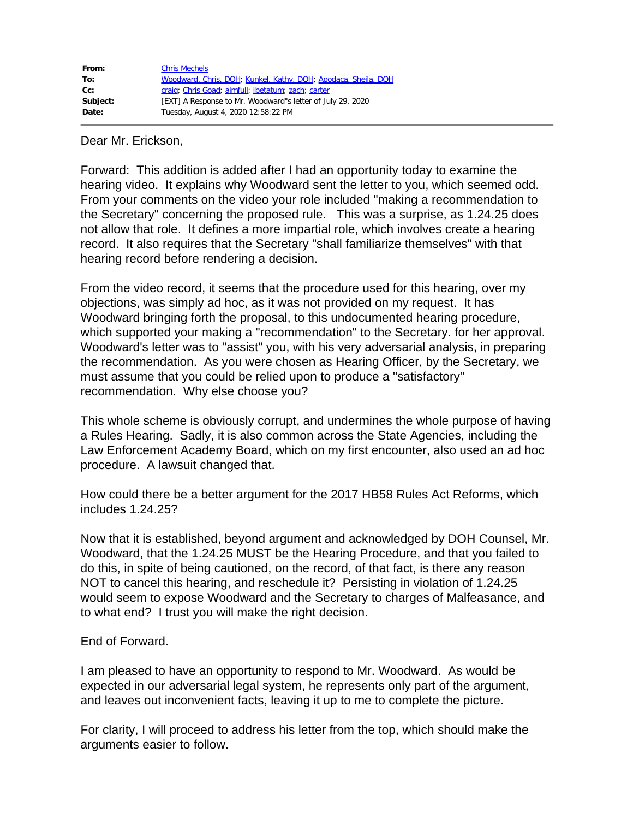| From:    | <b>Chris Mechels</b>                                           |
|----------|----------------------------------------------------------------|
| To:      | Woodward, Chris, DOH; Kunkel, Kathy, DOH; Apodaca, Sheila, DOH |
| cc:      | craig; Chris Goad; aimfull; jbetatum; zach; carter             |
| Subject: | [EXT] A Response to Mr. Woodward"s letter of July 29, 2020     |
| Date:    | Tuesday, August 4, 2020 12:58:22 PM                            |

Dear Mr. Erickson,

Forward: This addition is added after I had an opportunity today to examine the hearing video. It explains why Woodward sent the letter to you, which seemed odd. From your comments on the video your role included "making a recommendation to the Secretary" concerning the proposed rule. This was a surprise, as 1.24.25 does not allow that role. It defines a more impartial role, which involves create a hearing record. It also requires that the Secretary "shall familiarize themselves" with that hearing record before rendering a decision.

From the video record, it seems that the procedure used for this hearing, over my objections, was simply ad hoc, as it was not provided on my request. It has Woodward bringing forth the proposal, to this undocumented hearing procedure, which supported your making a "recommendation" to the Secretary. for her approval. Woodward's letter was to "assist" you, with his very adversarial analysis, in preparing the recommendation. As you were chosen as Hearing Officer, by the Secretary, we must assume that you could be relied upon to produce a "satisfactory" recommendation. Why else choose you?

This whole scheme is obviously corrupt, and undermines the whole purpose of having a Rules Hearing. Sadly, it is also common across the State Agencies, including the Law Enforcement Academy Board, which on my first encounter, also used an ad hoc procedure. A lawsuit changed that.

How could there be a better argument for the 2017 HB58 Rules Act Reforms, which includes 1.24.25?

Now that it is established, beyond argument and acknowledged by DOH Counsel, Mr. Woodward, that the 1.24.25 MUST be the Hearing Procedure, and that you failed to do this, in spite of being cautioned, on the record, of that fact, is there any reason NOT to cancel this hearing, and reschedule it? Persisting in violation of 1.24.25 would seem to expose Woodward and the Secretary to charges of Malfeasance, and to what end? I trust you will make the right decision.

## End of Forward.

I am pleased to have an opportunity to respond to Mr. Woodward. As would be expected in our adversarial legal system, he represents only part of the argument, and leaves out inconvenient facts, leaving it up to me to complete the picture.

For clarity, I will proceed to address his letter from the top, which should make the arguments easier to follow.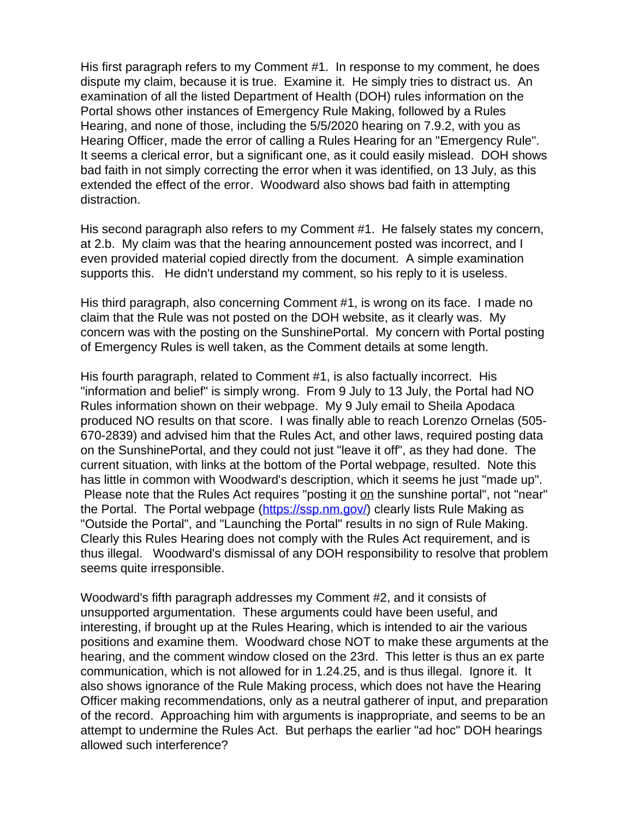His first paragraph refers to my Comment #1. In response to my comment, he does dispute my claim, because it is true. Examine it. He simply tries to distract us. An examination of all the listed Department of Health (DOH) rules information on the Portal shows other instances of Emergency Rule Making, followed by a Rules Hearing, and none of those, including the 5/5/2020 hearing on 7.9.2, with you as Hearing Officer, made the error of calling a Rules Hearing for an "Emergency Rule". It seems a clerical error, but a significant one, as it could easily mislead. DOH shows bad faith in not simply correcting the error when it was identified, on 13 July, as this extended the effect of the error. Woodward also shows bad faith in attempting distraction.

His second paragraph also refers to my Comment #1. He falsely states my concern, at 2.b. My claim was that the hearing announcement posted was incorrect, and I even provided material copied directly from the document. A simple examination supports this. He didn't understand my comment, so his reply to it is useless.

His third paragraph, also concerning Comment #1, is wrong on its face. I made no claim that the Rule was not posted on the DOH website, as it clearly was. My concern was with the posting on the SunshinePortal. My concern with Portal posting of Emergency Rules is well taken, as the Comment details at some length.

His fourth paragraph, related to Comment #1, is also factually incorrect. His "information and belief" is simply wrong. From 9 July to 13 July, the Portal had NO Rules information shown on their webpage. My 9 July email to Sheila Apodaca produced NO results on that score. I was finally able to reach Lorenzo Ornelas (505- 670-2839) and advised him that the Rules Act, and other laws, required posting data on the SunshinePortal, and they could not just "leave it off", as they had done. The current situation, with links at the bottom of the Portal webpage, resulted. Note this has little in common with Woodward's description, which it seems he just "made up". Please note that the Rules Act requires "posting it on the sunshine portal", not "near" the Portal. The Portal webpage [\(https://ssp.nm.gov/\)](https://protect-us.mimecast.com/s/9mVZCjRkrGIRvVpqiW_Y6h?domain=ssp.nm.gov/) clearly lists Rule Making as "Outside the Portal", and "Launching the Portal" results in no sign of Rule Making. Clearly this Rules Hearing does not comply with the Rules Act requirement, and is thus illegal. Woodward's dismissal of any DOH responsibility to resolve that problem seems quite irresponsible.

Woodward's fifth paragraph addresses my Comment #2, and it consists of unsupported argumentation. These arguments could have been useful, and interesting, if brought up at the Rules Hearing, which is intended to air the various positions and examine them. Woodward chose NOT to make these arguments at the hearing, and the comment window closed on the 23rd. This letter is thus an ex parte communication, which is not allowed for in 1.24.25, and is thus illegal. Ignore it. It also shows ignorance of the Rule Making process, which does not have the Hearing Officer making recommendations, only as a neutral gatherer of input, and preparation of the record. Approaching him with arguments is inappropriate, and seems to be an attempt to undermine the Rules Act. But perhaps the earlier "ad hoc" DOH hearings allowed such interference?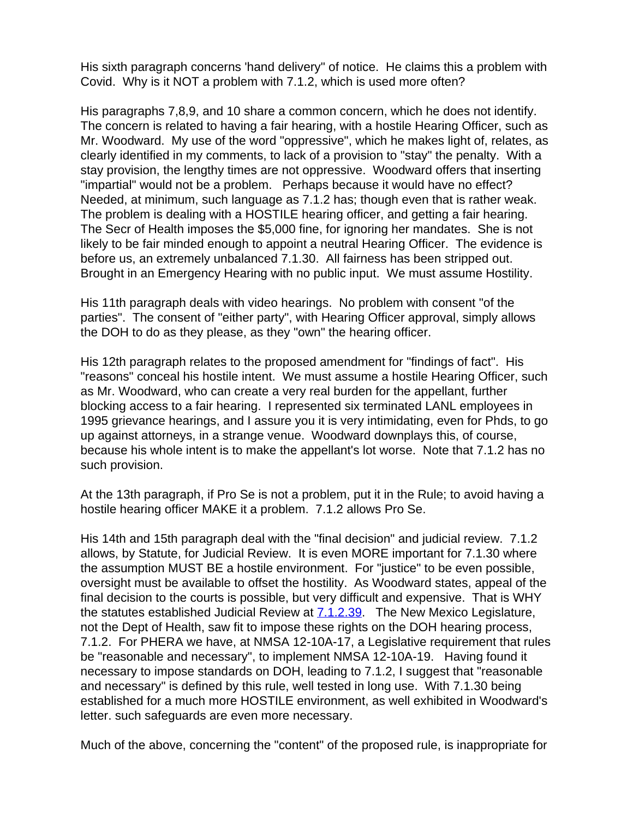His sixth paragraph concerns 'hand delivery" of notice. He claims this a problem with Covid. Why is it NOT a problem with 7.1.2, which is used more often?

His paragraphs 7,8,9, and 10 share a common concern, which he does not identify. The concern is related to having a fair hearing, with a hostile Hearing Officer, such as Mr. Woodward. My use of the word "oppressive", which he makes light of, relates, as clearly identified in my comments, to lack of a provision to "stay" the penalty. With a stay provision, the lengthy times are not oppressive. Woodward offers that inserting "impartial" would not be a problem. Perhaps because it would have no effect? Needed, at minimum, such language as 7.1.2 has; though even that is rather weak. The problem is dealing with a HOSTILE hearing officer, and getting a fair hearing. The Secr of Health imposes the \$5,000 fine, for ignoring her mandates. She is not likely to be fair minded enough to appoint a neutral Hearing Officer. The evidence is before us, an extremely unbalanced 7.1.30. All fairness has been stripped out. Brought in an Emergency Hearing with no public input. We must assume Hostility.

His 11th paragraph deals with video hearings. No problem with consent "of the parties". The consent of "either party", with Hearing Officer approval, simply allows the DOH to do as they please, as they "own" the hearing officer.

His 12th paragraph relates to the proposed amendment for "findings of fact". His "reasons" conceal his hostile intent. We must assume a hostile Hearing Officer, such as Mr. Woodward, who can create a very real burden for the appellant, further blocking access to a fair hearing. I represented six terminated LANL employees in 1995 grievance hearings, and I assure you it is very intimidating, even for Phds, to go up against attorneys, in a strange venue. Woodward downplays this, of course, because his whole intent is to make the appellant's lot worse. Note that 7.1.2 has no such provision.

At the 13th paragraph, if Pro Se is not a problem, put it in the Rule; to avoid having a hostile hearing officer MAKE it a problem. 7.1.2 allows Pro Se.

His 14th and 15th paragraph deal with the "final decision" and judicial review. 7.1.2 allows, by Statute, for Judicial Review. It is even MORE important for 7.1.30 where the assumption MUST BE a hostile environment. For "justice" to be even possible, oversight must be available to offset the hostility. As Woodward states, appeal of the final decision to the courts is possible, but very difficult and expensive. That is WHY the statutes established Judicial Review at **[7.1.2.39](https://protect-us.mimecast.com/s/O2szCkRlvJI5pPmQCVbLsa?domain=7.1.2.39).** The New Mexico Legislature, not the Dept of Health, saw fit to impose these rights on the DOH hearing process, 7.1.2. For PHERA we have, at NMSA 12-10A-17, a Legislative requirement that rules be "reasonable and necessary", to implement NMSA 12-10A-19. Having found it necessary to impose standards on DOH, leading to 7.1.2, I suggest that "reasonable and necessary" is defined by this rule, well tested in long use. With 7.1.30 being established for a much more HOSTILE environment, as well exhibited in Woodward's letter. such safeguards are even more necessary.

Much of the above, concerning the "content" of the proposed rule, is inappropriate for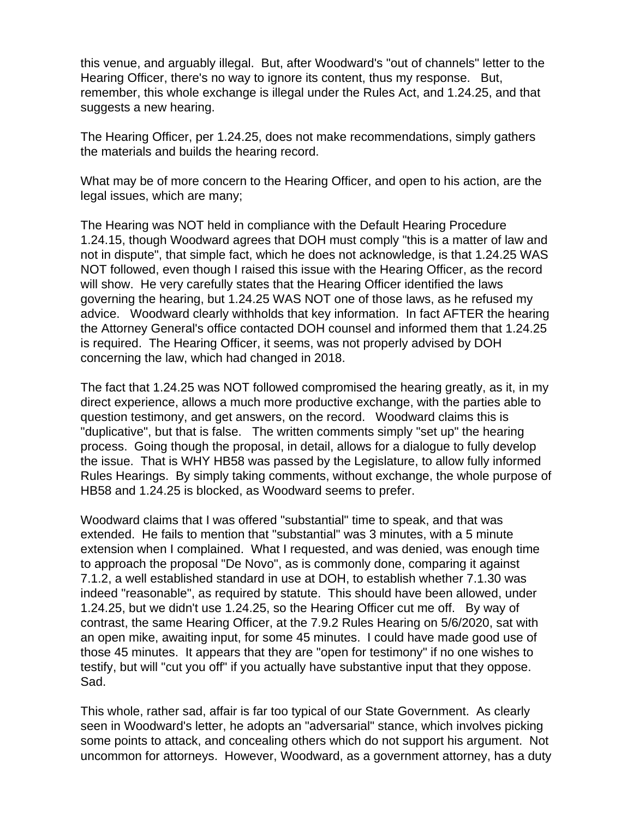this venue, and arguably illegal. But, after Woodward's "out of channels" letter to the Hearing Officer, there's no way to ignore its content, thus my response. But, remember, this whole exchange is illegal under the Rules Act, and 1.24.25, and that suggests a new hearing.

The Hearing Officer, per 1.24.25, does not make recommendations, simply gathers the materials and builds the hearing record.

What may be of more concern to the Hearing Officer, and open to his action, are the legal issues, which are many;

The Hearing was NOT held in compliance with the Default Hearing Procedure 1.24.15, though Woodward agrees that DOH must comply "this is a matter of law and not in dispute", that simple fact, which he does not acknowledge, is that 1.24.25 WAS NOT followed, even though I raised this issue with the Hearing Officer, as the record will show. He very carefully states that the Hearing Officer identified the laws governing the hearing, but 1.24.25 WAS NOT one of those laws, as he refused my advice. Woodward clearly withholds that key information. In fact AFTER the hearing the Attorney General's office contacted DOH counsel and informed them that 1.24.25 is required. The Hearing Officer, it seems, was not properly advised by DOH concerning the law, which had changed in 2018.

The fact that 1.24.25 was NOT followed compromised the hearing greatly, as it, in my direct experience, allows a much more productive exchange, with the parties able to question testimony, and get answers, on the record. Woodward claims this is "duplicative", but that is false. The written comments simply "set up" the hearing process. Going though the proposal, in detail, allows for a dialogue to fully develop the issue. That is WHY HB58 was passed by the Legislature, to allow fully informed Rules Hearings. By simply taking comments, without exchange, the whole purpose of HB58 and 1.24.25 is blocked, as Woodward seems to prefer.

Woodward claims that I was offered "substantial" time to speak, and that was extended. He fails to mention that "substantial" was 3 minutes, with a 5 minute extension when I complained. What I requested, and was denied, was enough time to approach the proposal "De Novo", as is commonly done, comparing it against 7.1.2, a well established standard in use at DOH, to establish whether 7.1.30 was indeed "reasonable", as required by statute. This should have been allowed, under 1.24.25, but we didn't use 1.24.25, so the Hearing Officer cut me off. By way of contrast, the same Hearing Officer, at the 7.9.2 Rules Hearing on 5/6/2020, sat with an open mike, awaiting input, for some 45 minutes. I could have made good use of those 45 minutes. It appears that they are "open for testimony" if no one wishes to testify, but will "cut you off" if you actually have substantive input that they oppose. Sad.

This whole, rather sad, affair is far too typical of our State Government. As clearly seen in Woodward's letter, he adopts an "adversarial" stance, which involves picking some points to attack, and concealing others which do not support his argument. Not uncommon for attorneys. However, Woodward, as a government attorney, has a duty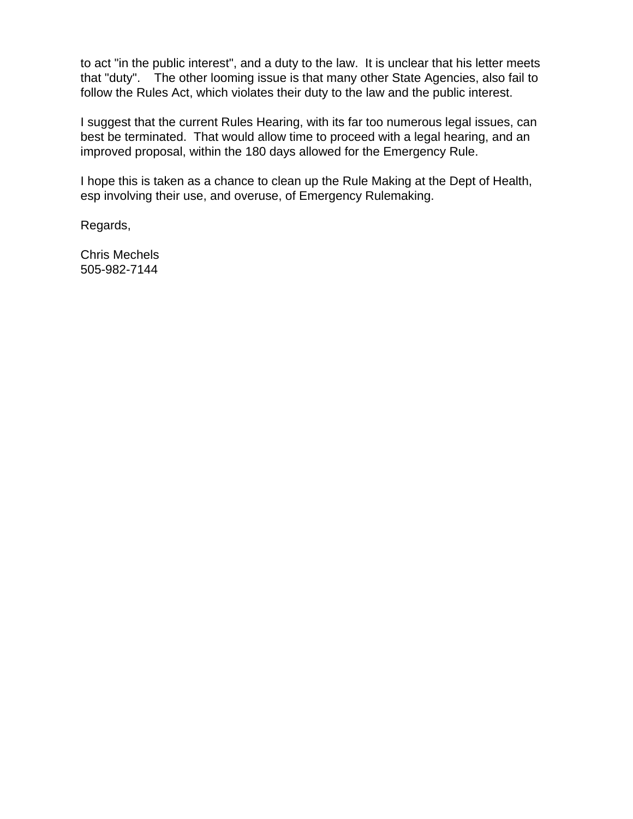to act "in the public interest", and a duty to the law. It is unclear that his letter meets that "duty". The other looming issue is that many other State Agencies, also fail to follow the Rules Act, which violates their duty to the law and the public interest.

I suggest that the current Rules Hearing, with its far too numerous legal issues, can best be terminated. That would allow time to proceed with a legal hearing, and an improved proposal, within the 180 days allowed for the Emergency Rule.

I hope this is taken as a chance to clean up the Rule Making at the Dept of Health, esp involving their use, and overuse, of Emergency Rulemaking.

Regards,

Chris Mechels 505-982-7144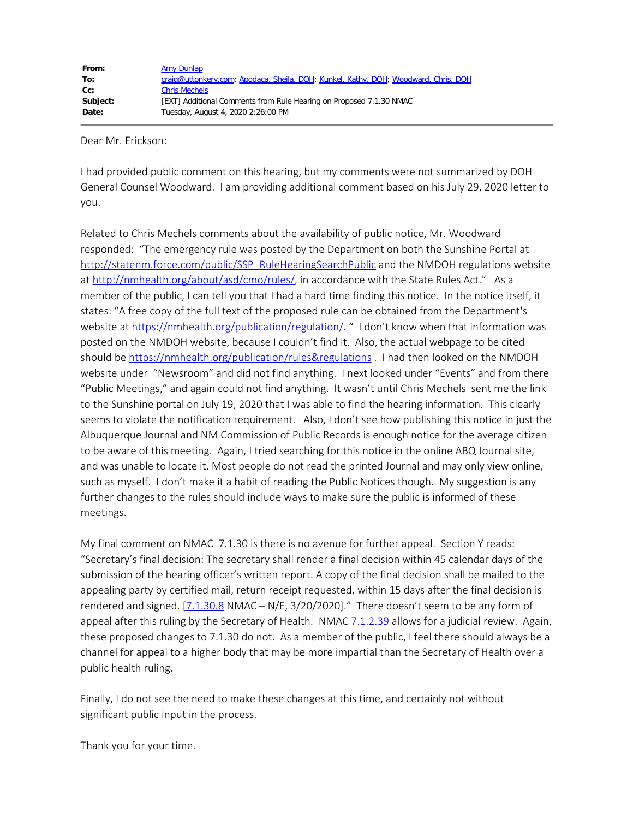Dear Mr. Erickson:

I had provided public comment on this hearing, but my comments were not summarized by DOH General Counsel Woodward. I am providing additional comment based on his July 29, 2020 letter to you.

Related to Chris Mechels comments about the availability of public notice, Mr. Woodward responded: "The emergency rule was posted by the Department on both the Sunshine Portal at [http://statenm.force.com/public/SSP\\_RuleHearingSearchPublic](https://protect-us.mimecast.com/s/TKYMCG62mPTAQKjwuKuqQZ?domain=statenm.force.com) and the NMDOH regulations website at [http://nmhealth.org/about/asd/cmo/rules/](https://protect-us.mimecast.com/s/659aCJ62pVTKD30xcGaG-o?domain=nmhealth.org/), in accordance with the State Rules Act." As a member of the public, I can tell you that I had a hard time finding this notice. In the notice itself, it states: "A free copy of the full text of the proposed rule can be obtained from the Department's website at [https://nmhealth.org/publication/regulation/](https://protect-us.mimecast.com/s/E6LFCKr2qWI4Gz3Lu3V4Q-?domain=nmhealth.org/). " I don't know when that information was posted on the NMDOH website, because I couldn't find it. Also, the actual webpage to be cited should be [https://nmhealth.org/publication/rules&regulations](https://protect-us.mimecast.com/s/4OLrCL92rXHQZyELumITY9?domain=nmhealth.org) . I had then looked on the NMDOH website under "Newsroom" and did not find anything. I next looked under "Events" and from there "Public Meetings," and again could not find anything. It wasn't until Chris Mechels sent me the link to the Sunshine portal on July 19, 2020 that I was able to find the hearing information. This clearly seems to violate the notification requirement. Also, I don't see how publishing this notice in just the Albuquerque Journal and NM Commission of Public Records is enough notice for the average citizen to be aware of this meeting. Again, I tried searching for this notice in the online ABQ Journal site, and was unable to locate it. Most people do not read the printed Journal and may only view online, such as myself. I don't make it a habit of reading the Public Notices though. My suggestion is any further changes to the rules should include ways to make sure the public is informed of these meetings.

My final comment on NMAC 7.1.30 is there is no avenue for further appeal. Section Y reads: "Secretary's final decision: The secretary shall render a final decision within 45 calendar days of the submission of the hearing officer's written report. A copy of the final decision shall be mailed to the appealing party by certified mail, return receipt requested, within 15 days after the final decision is rendered and signed.  $[7.1.30.8 \text{ NMAC} - \text{N/E}, 3/20/2020]$  $[7.1.30.8 \text{ NMAC} - \text{N/E}, 3/20/2020]$ ." There doesn't seem to be any form of appeal after this ruling by the Secretary of Health. NMAC [7.1.2.39](https://protect-us.mimecast.com/s/hYp3CNk2wZujGDvot0Y8CX?domain=7.1.2.39) allows for a judicial review. Again, these proposed changes to 7.1.30 do not. As a member of the public, I feel there should always be a channel for appeal to a higher body that may be more impartial than the Secretary of Health over a public health ruling.

Finally, I do not see the need to make these changes at this time, and certainly not without significant public input in the process.

Thank you for your time.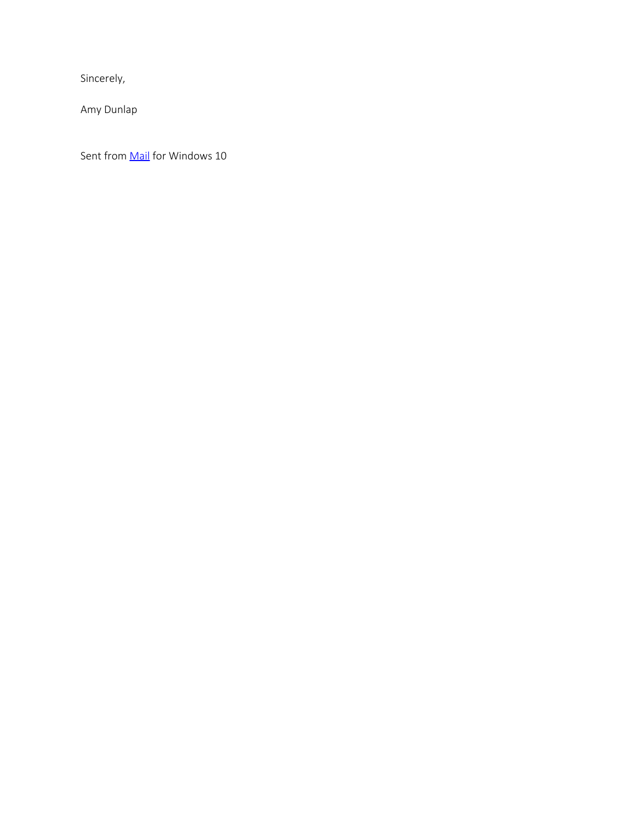Sincerely,

Amy Dunlap

Sent from **Mail** for Windows 10